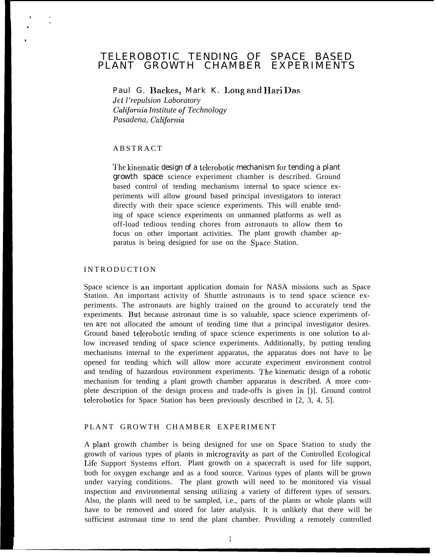# TELEROBOTIC TENDING OF SPACE BASED PLANT GROWTH CHAMBER EXPERIMENTS

Paul G. Backes, Mark K. Long and Hari Das *Jet l'repulsion Laboratory Calijomia Institute oj Technology Pasadena, Calijomia*

### **ABSTRACT**

. ,

> The kinematic design of a telerobotic mechanism for tending a plant growth space science experiment chamber is described. Ground based control of tending mechanisms internal to space science experiments will allow ground based principal investigators to interact directly with their space science experiments. This will enable tending of space science experiments on unmanned platforms as well as off-load tedious tending chores from astronauts to allow them to focus on other important activities. The plant growth chamber apparatus is being designed for use on the .Space Station.

#### **INTRODUCTION**

Space science is an important application domain for NASA missions such as Space Station. An important activity of Shuttle astronauts is to tend space science experiments. The astronauts are highly trained on the ground to accurately tend the experiments. But because astronaut time is so valuable, space science experiments often are not allocated the amount of tending time that a principal investigator desires. Ground based telerobotic tending of space science experiments is one solution to allow increased tending of space science experiments. Additionally, by putting tending mechanisms internal to the experiment apparatus, the apparatus does not have to be opened for tending which will allow more accurate experiment environment control and tending of hazardous environment experiments. The kinematic design of a robotic mechanism for tending a plant growth chamber apparatus is described. A more complete description of the design process and trade-offs is given in [)]. Ground control telerobotics for Space Station has been previously described in [2, 3, 4, 5].

### PLANT GROWTH CHAMBER EXPERIMENT

A plant growth chamber is being designed for use on Space Station to study the growth of various types of plants in microgravity as part of the Controlled Ecological Life Support Systems effort. Plant growth on a spacecraft is used for life support, both for oxygen exchange and as a food source. Various types of plants will be grown under varying conditions. The plant growth will need to be monitored via visual inspection and environmental sensing utilizing a variety of different types of sensors. Also, the plants will need to be sampled, i.e., parts of the plants or whole plants will have to be removed and stored for later analysis. It is unlikely that there will be sufficient astronaut time to tend the plant chamber. Providing a remotely controlled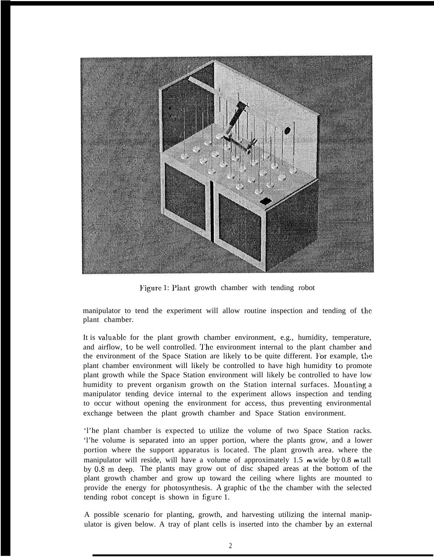

Figure 1: Plant growth chamber with tending robot

manipulator to tend the experiment will allow routine inspection and tending of the plant chamber.

It is valuable for the plant growth chamber environment, e.g., humidity, temperature, and airflow, to be well controlled. I'he environment internal to the plant chamber and the environment of the Space Station are likely to be quite different. For example, the plant chamber environment will likely be controlled to have high humidity to promote plant growth while the Space Station environment will likely be controlled to have low humidity to prevent organism growth on the Station internal surfaces. Mounting a manipulator tending device internal to the experiment allows inspection and tending to occur without opening the environment for access, thus preventing environmental exchange between the plant growth chamber and Space Station environment.

'l'he plant chamber is expected to utilize the volume of two Space Station racks. 'l'he volume is separated into an upper portion, where the plants grow, and a lower portion where the support apparatus is located. The plant growth area. where the manipulator will reside, will have a volume of approximately 1.5 **<sup>m</sup>**wide by 0.8 **m** tall by 0.8 m deep. The plants may grow out of disc shaped areas at the bottom of the plant growth chamber and grow up toward the ceiling where lights are mounted to provide the energy for photosynthesis. A graphic of the the chamber with the selected tending robot concept is shown in figure 1.

A possible scenario for planting, growth, and harvesting utilizing the internal manipulator is given below. A tray of plant cells is inserted into the chamber by an external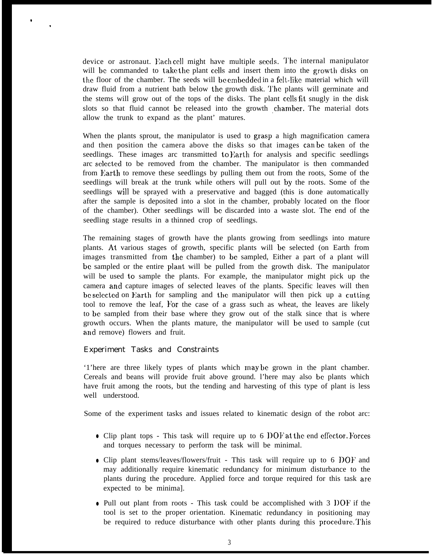device or astronaut. Each cell might have multiple seeds. The internal manipulator will be commanded to take the plant cells and insert them into the growth disks on the floor of the chamber. The seeds will be embedded in a felt-like material which will draw fluid from a nutrient bath below the growth disk. '1'hc plants will germinate and the stems will grow out of the tops of the disks. The plant CCIIS fit snugly in the disk slots so that fluid cannot be released into the growth chamber. The material dots allow the trunk to expand as the plant' matures.

When the plants sprout, the manipulator is used to grasp a high magnification camera and then position the camera above the disks so that images can bc taken of the seedlings. These images arc transmitted to Earth for analysis and specific seedlings arc selected to be removed from the chamber. The manipulator is then commanded from Earth to remove these seedlings by pulling them out from the roots, Some of the seedlings will break at the trunk while others will pull out by the roots. Some of the seedlings will be sprayed with a preservative and bagged (this is done automatically after the sample is deposited into a slot in the chamber, probably located on the floor of the chamber). Other seedlings will bc discarded into a waste slot. The end of the seedling stage results in a thinned crop of seedlings.

The remaining stages of growth have the plants growing from seedlings into mature plants. At various stages of growth, specific plants will be selected (on Earth from images transmitted from the chamber) to bc sampled, Either a part of a plant will bc sampled or the entire plant will be pulled from the growth disk. The manipulator will be used to sample the plants. For example, the manipulator might pick up the camera and capture images of selected leaves of the plants. Specific leaves will then be selected on Earth for sampling and the manipulator will then pick up a cutting tool to remove the leaf, For the case of a grass such as wheat, the leaves are likely to bc sampled from their base where they grow out of the stalk since that is where growth occurs. When the plants mature, the manipulator will be used to sample (cut and remove) flowers and fruit.

## Experiment Tasks and Constraints

o

.

'1'here are three likely types of plants which may bc grown in the plant chamber. Cereals and beans will provide fruit above ground. l'here may also bc plants which have fruit among the roots, but the tending and harvesting of this type of plant is less well understood.

Some of the experiment tasks and issues related to kinematic design of the robot arc:

- Clip plant tops This task will require up to 6 DOF at the end effector. Forces and torques necessary to perform the task will be minimal.
- Clip plant stems/leaves/flowers/fruit This task will require up to 6 DOF and may additionally require kinematic redundancy for minimum disturbance to the plants during the procedure. Applied force and torque required for this task are expected to be minima].
- Pull out plant from roots This task could be accomplished with 3 I)OF if the tool is set to the proper orientation. Kinematic redundancy in positioning may be required to reduce disturbance with other plants during this procedure. This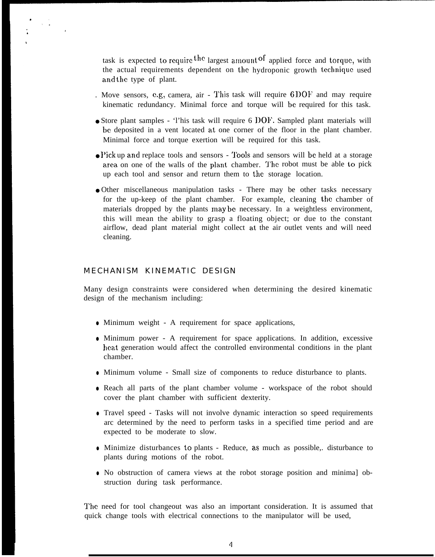task is expected to require the largest amount of applied force and torque, with the actual requirements dependent on the hydroponic growth tcchniquc used and the type of plant.

- . Move sensors, e.g, camera, air This task will require  $6$  DOF and may require kinematic redundancy. Minimal force and torque will be required for this task.
- Store plant samples 'l'his task will require 6 DOF'. Sampled plant materials will bc deposited in a vent located at one corner of the floor in the plant chamber. Minimal force and torque exertion will be required for this task.
- I'ick up and replace tools and sensors 'J'ooIs and sensors will bc held at a storage area on one of the walls of the plant chamber. 'J'he robot must be able to pick up each tool and sensor and return them to the storage location.
- Other miscellaneous manipulation tasks There may be other tasks necessary for the up-keep of the plant chamber. For example, cleaning the chamber of materials dropped by the plants may be necessary. In a weightless environment, this will mean the ability to grasp a floating object; or due to the constant airflow, dead plant material might collect at the air outlet vents and will need cleaning.

## MECHANISM KINEMATIC DESIGN

Many design constraints were considered when determining the desired kinematic design of the mechanism including:

- Minimum weight A requirement for space applications,
- Minimum power A requirement for space applications. In addition, excessive heat generation would affect the controlled environmental conditions in the plant chamber.
- Minimum volume Small size of components to reduce disturbance to plants.
- Reach all parts of the plant chamber volume workspace of the robot should cover the plant chamber with sufficient dexterity.
- Travel speed Tasks will not involve dynamic interaction so speed requirements arc determined by the need to perform tasks in a specified time period and are expected to be moderate to slow.
- Minimize disturbances to plants Reduce, as much as possible,. disturbance to plants during motions of the robot.
- No obstruction of camera views at the robot storage position and minima] obstruction during task performance.

The need for tool changeout was also an important consideration. It is assumed that quick change tools with electrical connections to the manipulator will be used,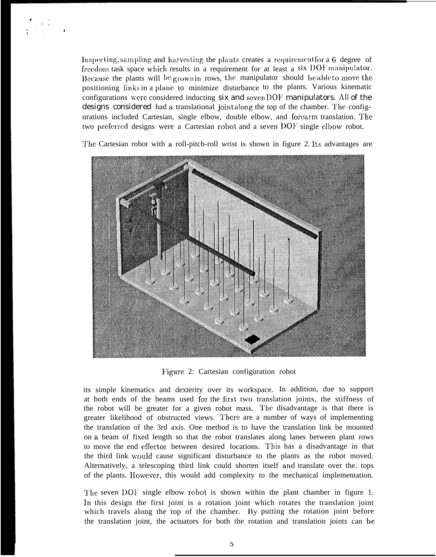Inspecting, sampling and harvesting the plants creates a requirement for a  $6$  degree of freedom task space which results in a requirement for at least a six DOF manipulator. Because the plants will be grown in rows, the manipulator should be able to move the positioning links in a plane to minimize disturbance to the plants. Various kinematic configurations were considered inducting six and seven  $DOF$  manipulators. All of the designs considered had a translational joint along the top of the chamber. The configurations included Cartesian, single elbow, double elbow, and forearm translation. The two preferred designs were a Cartesian robot and a seven DOF single elbow robot.

'1'hc Cartesian robot with a roll-pitch-roll wrist is shown in figure 2. Its advantages are



Figure 2: Cartesian configuration robot

its simple kinematics and dexterity over its workspace. In addition, due to support at both ends of the beams used for the first two translation joints, the stiffness of the robot will be greater for a given robot mass. The disadvantage is that there is greater likelihood of obstructed views. There are a number of ways of implementing the translation of the 3rd axis. One method is to have the translation link be mounted on a beam of fixed length so that the robot translates along lanes between plant rows to move the end effector between desired locations. This has a disadvantage in that the third link wwuld cause significant disturbance to the plants as the robot moved. Alternatively, a telescoping third link could shorten itself and translate over the tops of the plants. IIowever, this would add complexity to the mechanical implementation.

The seven DOF single elbow robot is shown within the plant chamber in figure 1. In this design the first joint is a rotation joint which rotates the translation joint which travels along the top of the chamber. By putting the rotation joint before the translation joint, the actuators for both the rotation and translation joints can bc